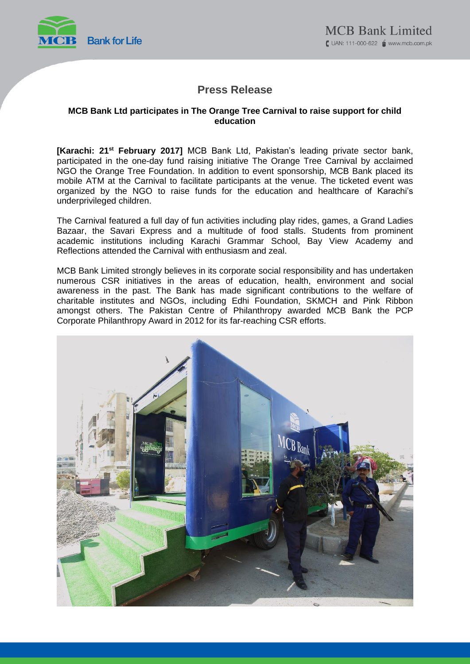

## **Press Release**

### **MCB Bank Ltd participates in The Orange Tree Carnival to raise support for child education**

**[Karachi: 21st February 2017]** MCB Bank Ltd, Pakistan's leading private sector bank, participated in the one-day fund raising initiative The Orange Tree Carnival by acclaimed NGO the Orange Tree Foundation. In addition to event sponsorship, MCB Bank placed its mobile ATM at the Carnival to facilitate participants at the venue. The ticketed event was organized by the NGO to raise funds for the education and healthcare of Karachi's underprivileged children.

The Carnival featured a full day of fun activities including play rides, games, a Grand Ladies Bazaar, the Savari Express and a multitude of food stalls. Students from prominent academic institutions including Karachi Grammar School, Bay View Academy and Reflections attended the Carnival with enthusiasm and zeal.

MCB Bank Limited strongly believes in its corporate social responsibility and has undertaken numerous CSR initiatives in the areas of education, health, environment and social awareness in the past. The Bank has made significant contributions to the welfare of charitable institutes and NGOs, including Edhi Foundation, SKMCH and Pink Ribbon amongst others. The Pakistan Centre of Philanthropy awarded MCB Bank the PCP Corporate Philanthropy Award in 2012 for its far-reaching CSR efforts.